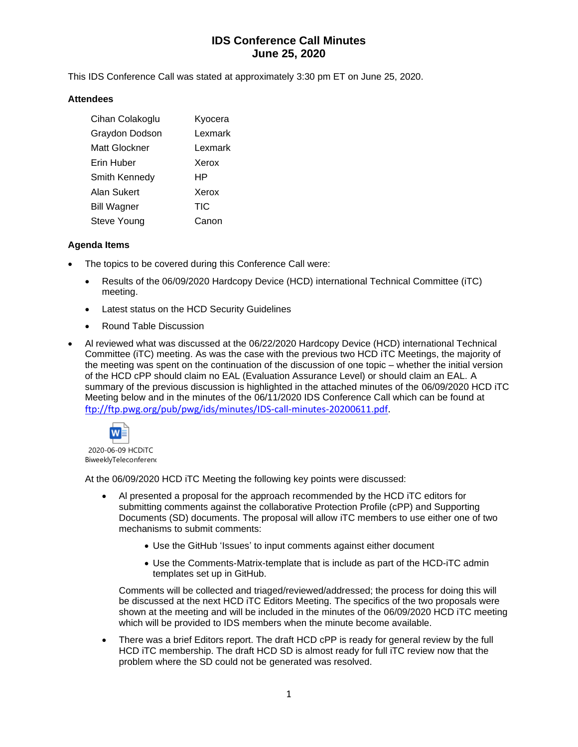# **IDS Conference Call Minutes June 25, 2020**

This IDS Conference Call was stated at approximately 3:30 pm ET on June 25, 2020.

### **Attendees**

| Cihan Colakoglu    | Kyocera |
|--------------------|---------|
| Graydon Dodson     | Lexmark |
| Matt Glockner      | Lexmark |
| Erin Huber         | Xerox   |
| Smith Kennedy      | HP      |
| Alan Sukert        | Xerox   |
| <b>Bill Wagner</b> | TIC     |
| Steve Young        | Canon   |

### **Agenda Items**

- The topics to be covered during this Conference Call were:
	- Results of the 06/09/2020 Hardcopy Device (HCD) international Technical Committee (iTC) meeting.
	- Latest status on the HCD Security Guidelines
	- Round Table Discussion
- Al reviewed what was discussed at the 06/22/2020 Hardcopy Device (HCD) international Technical Committee (iTC) meeting. As was the case with the previous two HCD iTC Meetings, the majority of the meeting was spent on the continuation of the discussion of one topic – whether the initial version of the HCD cPP should claim no EAL (Evaluation Assurance Level) or should claim an EAL. A summary of the previous discussion is highlighted in the attached minutes of the 06/09/2020 HCD iTC Meeting below and in the minutes of the 06/11/2020 IDS Conference Call which can be found at [ftp://ftp.pwg.org/pub/pwg/ids/minutes/IDS-call-minutes-20200611.pdf.](ftp://ftp.pwg.org/pub/pwg/ids/minutes/IDS-call-minutes-20200611.pdf)



2020-06-09 HCDiTC BiweeklyTeleconferenc

At the 06/09/2020 HCD iTC Meeting the following key points were discussed:

- Al presented a proposal for the approach recommended by the HCD iTC editors for submitting comments against the collaborative Protection Profile (cPP) and Supporting Documents (SD) documents. The proposal will allow iTC members to use either one of two mechanisms to submit comments:
	- Use the GitHub 'Issues' to input comments against either document
	- Use the Comments-Matrix-template that is include as part of the HCD-iTC admin templates set up in GitHub.

Comments will be collected and triaged/reviewed/addressed; the process for doing this will be discussed at the next HCD iTC Editors Meeting. The specifics of the two proposals were shown at the meeting and will be included in the minutes of the 06/09/2020 HCD iTC meeting which will be provided to IDS members when the minute become available.

• There was a brief Editors report. The draft HCD cPP is ready for general review by the full HCD iTC membership. The draft HCD SD is almost ready for full iTC review now that the problem where the SD could not be generated was resolved.